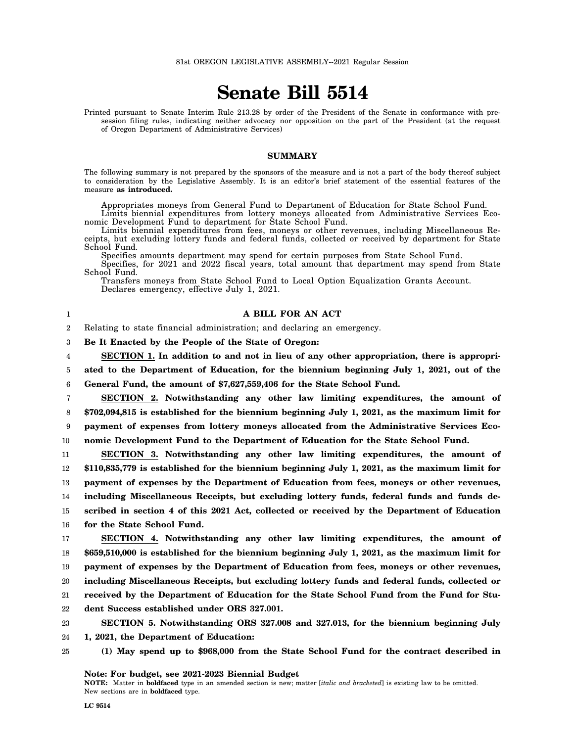## **Senate Bill 5514**

Printed pursuant to Senate Interim Rule 213.28 by order of the President of the Senate in conformance with presession filing rules, indicating neither advocacy nor opposition on the part of the President (at the request of Oregon Department of Administrative Services)

## **SUMMARY**

The following summary is not prepared by the sponsors of the measure and is not a part of the body thereof subject to consideration by the Legislative Assembly. It is an editor's brief statement of the essential features of the measure **as introduced.**

Appropriates moneys from General Fund to Department of Education for State School Fund. Limits biennial expenditures from lottery moneys allocated from Administrative Services Eco-

nomic Development Fund to department for State School Fund.

Limits biennial expenditures from fees, moneys or other revenues, including Miscellaneous Receipts, but excluding lottery funds and federal funds, collected or received by department for State School Fund.

Specifies amounts department may spend for certain purposes from State School Fund.

Specifies, for 2021 and 2022 fiscal years, total amount that department may spend from State School Fund.

Transfers moneys from State School Fund to Local Option Equalization Grants Account. Declares emergency, effective July 1, 2021.

## **A BILL FOR AN ACT**

2 Relating to state financial administration; and declaring an emergency.

3 **Be It Enacted by the People of the State of Oregon:**

4 **SECTION 1. In addition to and not in lieu of any other appropriation, there is appropri-**

5 **ated to the Department of Education, for the biennium beginning July 1, 2021, out of the**

6 **General Fund, the amount of \$7,627,559,406 for the State School Fund.**

7 8 9 10 **SECTION 2. Notwithstanding any other law limiting expenditures, the amount of \$702,094,815 is established for the biennium beginning July 1, 2021, as the maximum limit for payment of expenses from lottery moneys allocated from the Administrative Services Economic Development Fund to the Department of Education for the State School Fund.**

11 12 13 14 15 16 **SECTION 3. Notwithstanding any other law limiting expenditures, the amount of \$110,835,779 is established for the biennium beginning July 1, 2021, as the maximum limit for payment of expenses by the Department of Education from fees, moneys or other revenues, including Miscellaneous Receipts, but excluding lottery funds, federal funds and funds described in section 4 of this 2021 Act, collected or received by the Department of Education for the State School Fund.**

17 18 19 20 21 **SECTION 4. Notwithstanding any other law limiting expenditures, the amount of \$659,510,000 is established for the biennium beginning July 1, 2021, as the maximum limit for payment of expenses by the Department of Education from fees, moneys or other revenues, including Miscellaneous Receipts, but excluding lottery funds and federal funds, collected or received by the Department of Education for the State School Fund from the Fund for Stu-**

22 **dent Success established under ORS 327.001.**

23 **SECTION 5. Notwithstanding ORS 327.008 and 327.013, for the biennium beginning July**

- 24 **1, 2021, the Department of Education:**
- 25 **(1) May spend up to \$968,000 from the State School Fund for the contract described in**

**Note: For budget, see 2021-2023 Biennial Budget**

**NOTE:** Matter in **boldfaced** type in an amended section is new; matter [*italic and bracketed*] is existing law to be omitted. New sections are in **boldfaced** type.